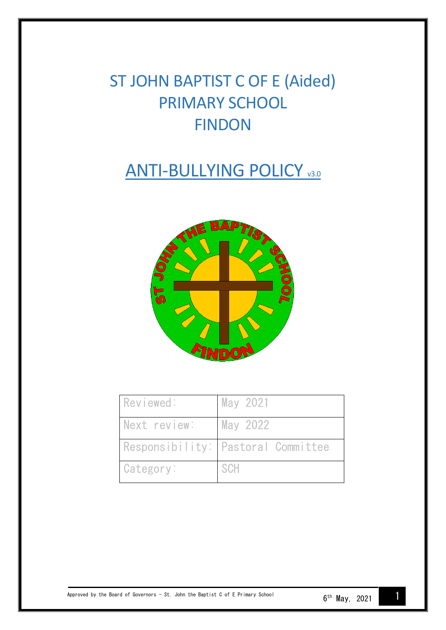# ST JOHN BAPTIST C OF E (Aided) PRIMARY SCHOOL FINDON

# **ANTI-BULLYING POLICY V3.0**



| Reviewed:    | May 2021                           |
|--------------|------------------------------------|
| Next review: | May 2022                           |
|              | Responsibility: Pastoral Committee |
| Category:    | SCH                                |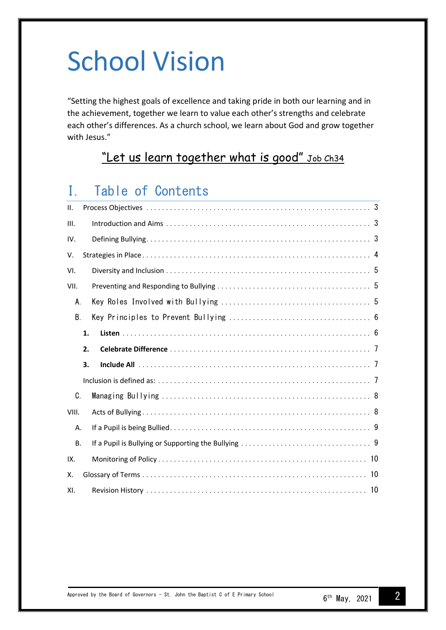# School Vision

"Setting the highest goals of excellence and taking pride in both our learning and in the achievement, together we learn to value each other's strengths and celebrate each other's differences. As a church school, we learn about God and grow together with Jesus."

# "Let us learn together what is good" Job Ch34

# I. Table of Contents

| ΙΙ.   |    |  |  |  |  |  |  |
|-------|----|--|--|--|--|--|--|
| III.  |    |  |  |  |  |  |  |
| IV.   |    |  |  |  |  |  |  |
| V.    |    |  |  |  |  |  |  |
| VI.   |    |  |  |  |  |  |  |
| VII.  |    |  |  |  |  |  |  |
| A.    |    |  |  |  |  |  |  |
| В.    |    |  |  |  |  |  |  |
|       | 1. |  |  |  |  |  |  |
|       | 2. |  |  |  |  |  |  |
|       | 3. |  |  |  |  |  |  |
|       |    |  |  |  |  |  |  |
| C.    |    |  |  |  |  |  |  |
| VIII. |    |  |  |  |  |  |  |
| Α.    |    |  |  |  |  |  |  |
| В.    |    |  |  |  |  |  |  |
| IX.   |    |  |  |  |  |  |  |
| Χ.    |    |  |  |  |  |  |  |
| XI.   |    |  |  |  |  |  |  |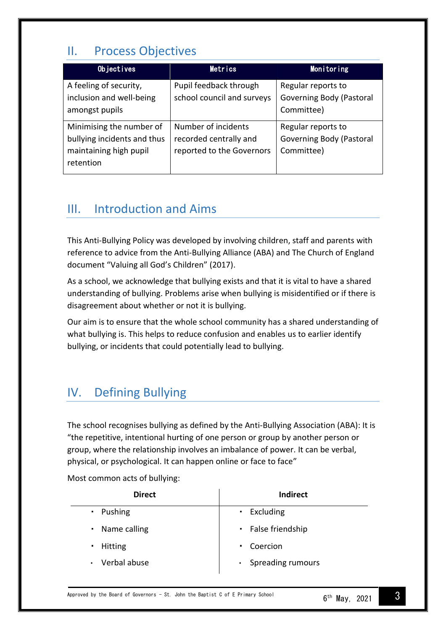# <span id="page-2-0"></span>II. Process Objectives

| Objectives                                                                                     | Metrics                                                                    | Monitoring                                                          |
|------------------------------------------------------------------------------------------------|----------------------------------------------------------------------------|---------------------------------------------------------------------|
| A feeling of security,<br>inclusion and well-being<br>amongst pupils                           | Pupil feedback through<br>school council and surveys                       | Regular reports to<br><b>Governing Body (Pastoral</b><br>Committee) |
| Minimising the number of<br>bullying incidents and thus<br>maintaining high pupil<br>retention | Number of incidents<br>recorded centrally and<br>reported to the Governors | Regular reports to<br><b>Governing Body (Pastoral</b><br>Committee) |

## <span id="page-2-1"></span>III. Introduction and Aims

This Anti-Bullying Policy was developed by involving children, staff and parents with reference to advice from the Anti-Bullying Alliance (ABA) and The Church of England document "Valuing all God's Children" (2017).

As a school, we acknowledge that bullying exists and that it is vital to have a shared understanding of bullying. Problems arise when bullying is misidentified or if there is disagreement about whether or not it is bullying.

Our aim is to ensure that the whole school community has a shared understanding of what bullying is. This helps to reduce confusion and enables us to earlier identify bullying, or incidents that could potentially lead to bullying.

# <span id="page-2-2"></span>IV. Defining Bullying

The school recognises bullying as defined by the Anti-Bullying Association (ABA): It is "the repetitive, intentional hurting of one person or group by another person or group, where the relationship involves an imbalance of power. It can be verbal, physical, or psychological. It can happen online or face to face"

Most common acts of bullying:

| <b>Indirect</b>                   |
|-----------------------------------|
| Excluding<br>$\blacksquare$       |
| • False friendship                |
| Coercion<br>$\blacksquare$ .      |
| Spreading rumours<br>$\mathbf{r}$ |
|                                   |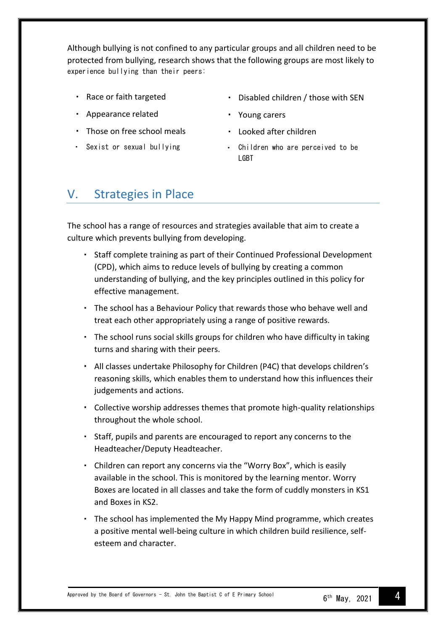Although bullying is not confined to any particular groups and all children need to be protected from bullying, research shows that the following groups are most likely to experience bullying than their peers:

- Race or faith targeted
- Appearance related
- Those on free school meals
- Sexist or sexual bullying
- Disabled children / those with SEN
- Young carers
- Looked after children
- Children who are perceived to be LGBT

### <span id="page-3-0"></span>V. Strategies in Place

The school has a range of resources and strategies available that aim to create a culture which prevents bullying from developing.

- Staff complete training as part of their Continued Professional Development (CPD), which aims to reduce levels of bullying by creating a common understanding of bullying, and the key principles outlined in this policy for effective management.
- The school has a Behaviour Policy that rewards those who behave well and treat each other appropriately using a range of positive rewards.
- The school runs social skills groups for children who have difficulty in taking turns and sharing with their peers.
- All classes undertake Philosophy for Children (P4C) that develops children's reasoning skills, which enables them to understand how this influences their judgements and actions.
- Collective worship addresses themes that promote high-quality relationships throughout the whole school.
- Staff, pupils and parents are encouraged to report any concerns to the  $\mathbf{r}_{\mathrm{in}}$ Headteacher/Deputy Headteacher.
- Children can report any concerns via the "Worry Box", which is easily available in the school. This is monitored by the learning mentor. Worry Boxes are located in all classes and take the form of cuddly monsters in KS1 and Boxes in KS2.
- The school has implemented the My Happy Mind programme, which creates a positive mental well-being culture in which children build resilience, selfesteem and character.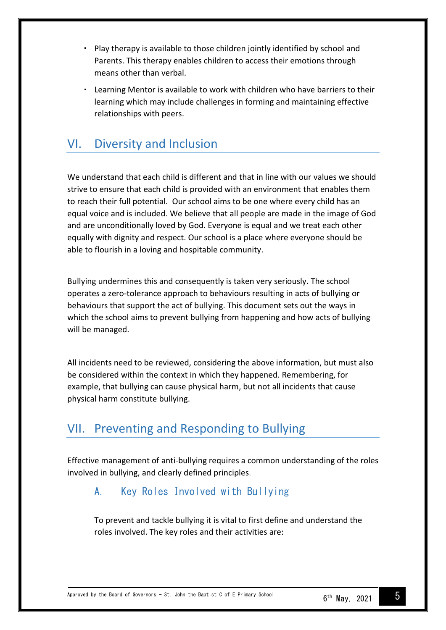- Play therapy is available to those children jointly identified by school and Parents. This therapy enables children to access their emotions through means other than verbal.
- Learning Mentor is available to work with children who have barriers to their learning which may include challenges in forming and maintaining effective relationships with peers.

# <span id="page-4-0"></span>VI. Diversity and Inclusion

We understand that each child is different and that in line with our values we should strive to ensure that each child is provided with an environment that enables them to reach their full potential. Our school aims to be one where every child has an equal voice and is included. We believe that all people are made in the image of God and are unconditionally loved by God. Everyone is equal and we treat each other equally with dignity and respect. Our school is a place where everyone should be able to flourish in a loving and hospitable community.

Bullying undermines this and consequently is taken very seriously. The school operates a zero-tolerance approach to behaviours resulting in acts of bullying or behaviours that support the act of bullying. This document sets out the ways in which the school aims to prevent bullying from happening and how acts of bullying will be managed.

All incidents need to be reviewed, considering the above information, but must also be considered within the context in which they happened. Remembering, for example, that bullying can cause physical harm, but not all incidents that cause physical harm constitute bullying.

# <span id="page-4-1"></span>VII. Preventing and Responding to Bullying

<span id="page-4-2"></span>Effective management of anti-bullying requires a common understanding of the roles involved in bullying, and clearly defined principles.

#### A. Key Roles Involved with Bullying

To prevent and tackle bullying it is vital to first define and understand the roles involved. The key roles and their activities are: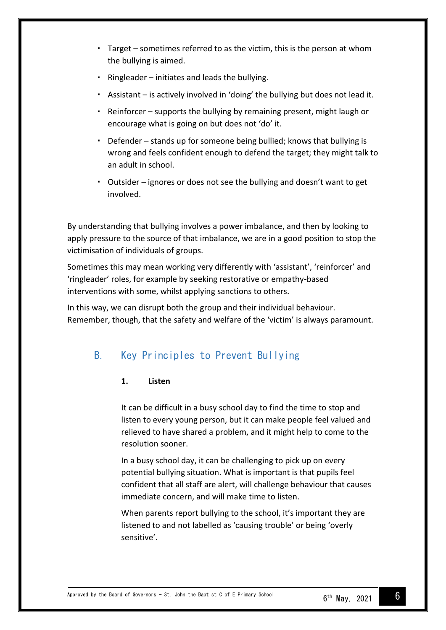- Target sometimes referred to as the victim, this is the person at whom the bullying is aimed.
- Ringleader initiates and leads the bullying.
- Assistant is actively involved in 'doing' the bullying but does not lead it.
- Reinforcer supports the bullying by remaining present, might laugh or encourage what is going on but does not 'do' it.
- Defender stands up for someone being bullied; knows that bullying is wrong and feels confident enough to defend the target; they might talk to an adult in school.
- Outsider ignores or does not see the bullying and doesn't want to get involved.

By understanding that bullying involves a power imbalance, and then by looking to apply pressure to the source of that imbalance, we are in a good position to stop the victimisation of individuals of groups.

Sometimes this may mean working very differently with 'assistant', 'reinforcer' and 'ringleader' roles, for example by seeking restorative or empathy-based interventions with some, whilst applying sanctions to others.

In this way, we can disrupt both the group and their individual behaviour. Remember, though, that the safety and welfare of the 'victim' is always paramount.

#### <span id="page-5-1"></span><span id="page-5-0"></span>B. Key Principles to Prevent Bullying

#### **1. Listen**

It can be difficult in a busy school day to find the time to stop and listen to every young person, but it can make people feel valued and relieved to have shared a problem, and it might help to come to the resolution sooner.

In a busy school day, it can be challenging to pick up on every potential bullying situation. What is important is that pupils feel confident that all staff are alert, will challenge behaviour that causes immediate concern, and will make time to listen.

When parents report bullying to the school, it's important they are listened to and not labelled as 'causing trouble' or being 'overly sensitive'.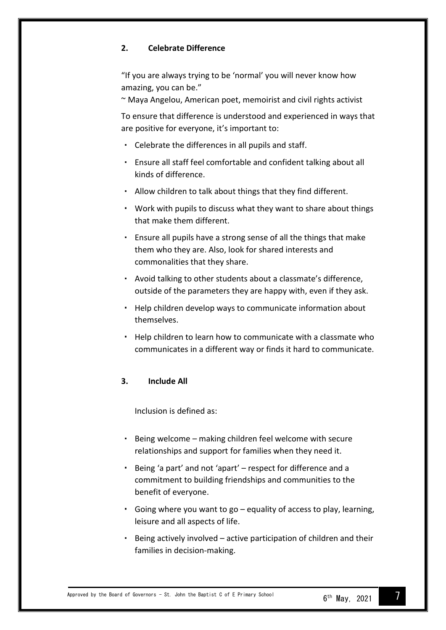#### <span id="page-6-0"></span>**2. Celebrate Difference**

"If you are always trying to be 'normal' you will never know how amazing, you can be."

~ Maya Angelou, American poet, memoirist and civil rights activist

To ensure that difference is understood and experienced in ways that are positive for everyone, it's important to:

- Celebrate the differences in all pupils and staff.
- Ensure all staff feel comfortable and confident talking about all kinds of difference.
- Allow children to talk about things that they find different.
- Work with pupils to discuss what they want to share about things that make them different.
- Ensure all pupils have a strong sense of all the things that make them who they are. Also, look for shared interests and commonalities that they share.
- Avoid talking to other students about a classmate's difference, outside of the parameters they are happy with, even if they ask.
- Help children develop ways to communicate information about themselves.
- Help children to learn how to communicate with a classmate who communicates in a different way or finds it hard to communicate.

#### <span id="page-6-2"></span><span id="page-6-1"></span>**3. Include All**

Inclusion is defined as:

- Being welcome making children feel welcome with secure relationships and support for families when they need it.
- Being 'a part' and not 'apart' respect for difference and a commitment to building friendships and communities to the benefit of everyone.
- Going where you want to go equality of access to play, learning, leisure and all aspects of life.
- Being actively involved active participation of children and their families in decision-making.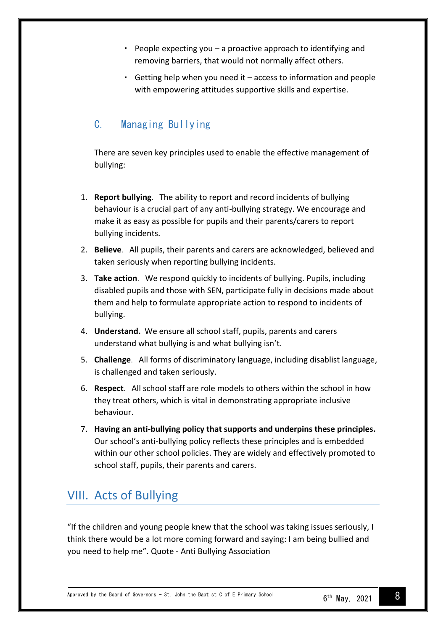- People expecting you a proactive approach to identifying and removing barriers, that would not normally affect others.
- Getting help when you need it access to information and people with empowering attitudes supportive skills and expertise.

#### <span id="page-7-0"></span>C. Managing Bullying

There are seven key principles used to enable the effective management of bullying:

- 1. **Report bullying**. The ability to report and record incidents of bullying behaviour is a crucial part of any anti-bullying strategy. We encourage and make it as easy as possible for pupils and their parents/carers to report bullying incidents.
- 2. **Believe**. All pupils, their parents and carers are acknowledged, believed and taken seriously when reporting bullying incidents.
- 3. **Take action**. We respond quickly to incidents of bullying. Pupils, including disabled pupils and those with SEN, participate fully in decisions made about them and help to formulate appropriate action to respond to incidents of bullying.
- 4. **Understand.** We ensure all school staff, pupils, parents and carers understand what bullying is and what bullying isn't.
- 5. **Challenge**. All forms of discriminatory language, including disablist language, is challenged and taken seriously.
- 6. **Respect**. All school staff are role models to others within the school in how they treat others, which is vital in demonstrating appropriate inclusive behaviour.
- 7. **Having an anti-bullying policy that supports and underpins these principles.** Our school's anti-bullying policy reflects these principles and is embedded within our other school policies. They are widely and effectively promoted to school staff, pupils, their parents and carers.

# <span id="page-7-1"></span>VIII. Acts of Bullying

"If the children and young people knew that the school was taking issues seriously, I think there would be a lot more coming forward and saying: I am being bullied and you need to help me". Quote - Anti Bullying Association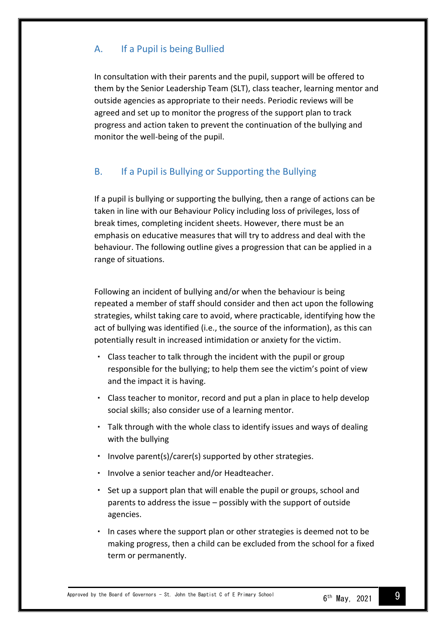#### <span id="page-8-0"></span>A. If a Pupil is being Bullied

In consultation with their parents and the pupil, support will be offered to them by the Senior Leadership Team (SLT), class teacher, learning mentor and outside agencies as appropriate to their needs. Periodic reviews will be agreed and set up to monitor the progress of the support plan to track progress and action taken to prevent the continuation of the bullying and monitor the well-being of the pupil.

#### <span id="page-8-1"></span>B. If a Pupil is Bullying or Supporting the Bullying

If a pupil is bullying or supporting the bullying, then a range of actions can be taken in line with our Behaviour Policy including loss of privileges, loss of break times, completing incident sheets. However, there must be an emphasis on educative measures that will try to address and deal with the behaviour. The following outline gives a progression that can be applied in a range of situations.

Following an incident of bullying and/or when the behaviour is being repeated a member of staff should consider and then act upon the following strategies, whilst taking care to avoid, where practicable, identifying how the act of bullying was identified (i.e., the source of the information), as this can potentially result in increased intimidation or anxiety for the victim.

- Class teacher to talk through the incident with the pupil or group responsible for the bullying; to help them see the victim's point of view and the impact it is having.
- Class teacher to monitor, record and put a plan in place to help develop social skills; also consider use of a learning mentor.
- Talk through with the whole class to identify issues and ways of dealing with the bullying
- Involve parent(s)/carer(s) supported by other strategies.
- Involve a senior teacher and/or Headteacher.
- Set up a support plan that will enable the pupil or groups, school and parents to address the issue – possibly with the support of outside agencies.
- In cases where the support plan or other strategies is deemed not to be making progress, then a child can be excluded from the school for a fixed term or permanently.